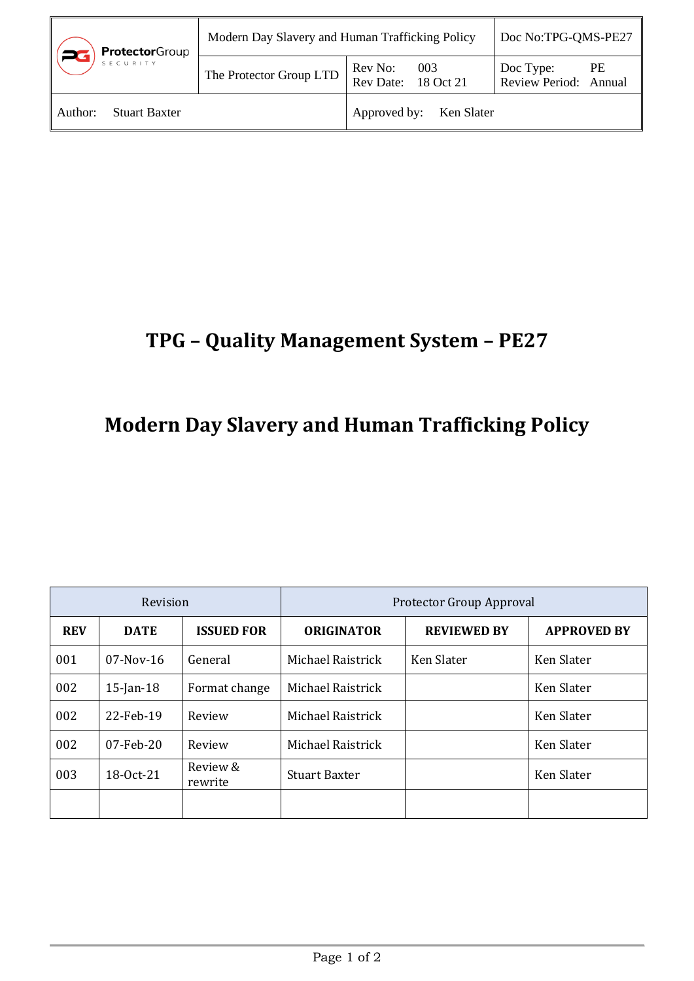| <b>Protector</b> Group          | Modern Day Slavery and Human Trafficking Policy | Doc No:TPG-QMS-PE27                |                                          |
|---------------------------------|-------------------------------------------------|------------------------------------|------------------------------------------|
| SECURITY                        | The Protector Group LTD                         | Rev No: 003<br>Rev Date: 18 Oct 21 | Doc Type:<br>PE<br>Review Period: Annual |
| <b>Stuart Baxter</b><br>Author: |                                                 | Approved by: Ken Slater            |                                          |

## **TPG – Quality Management System – PE27**

## **Modern Day Slavery and Human Trafficking Policy**

| Revision   |              | Protector Group Approval |                      |                    |                    |
|------------|--------------|--------------------------|----------------------|--------------------|--------------------|
| <b>REV</b> | <b>DATE</b>  | <b>ISSUED FOR</b>        | <b>ORIGINATOR</b>    | <b>REVIEWED BY</b> | <b>APPROVED BY</b> |
| 001        | $07-Nov-16$  | General                  | Michael Raistrick    | Ken Slater         | Ken Slater         |
| 002        | $15$ -Jan-18 | Format change            | Michael Raistrick    |                    | Ken Slater         |
| 002        | 22-Feb-19    | Review                   | Michael Raistrick    |                    | Ken Slater         |
| 002        | $07$ -Feb-20 | Review                   | Michael Raistrick    |                    | Ken Slater         |
| 003        | 18-0ct-21    | Review &<br>rewrite      | <b>Stuart Baxter</b> |                    | Ken Slater         |
|            |              |                          |                      |                    |                    |